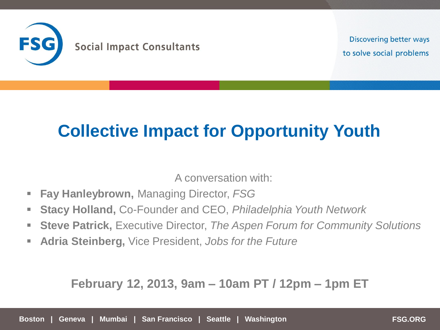

**Discovering better ways** to solve social problems

# **Collective Impact for Opportunity Youth**

A conversation with:

- **Fay Hanleybrown,** Managing Director, *FSG*
- **Stacy Holland,** Co-Founder and CEO, *Philadelphia Youth Network*
- **Steve Patrick,** Executive Director, *The Aspen Forum for Community Solutions*
- **Adria Steinberg,** Vice President, *Jobs for the Future*

#### **February 12, 2013, 9am – 10am PT / 12pm – 1pm ET**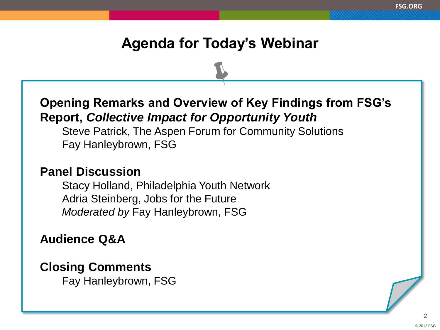### **Agenda for Today's Webinar**

**Opening Remarks and Overview of Key Findings from FSG's Report,** *Collective Impact for Opportunity Youth*

Steve Patrick, The Aspen Forum for Community Solutions Fay Hanleybrown, FSG

#### **Panel Discussion**

Stacy Holland, Philadelphia Youth Network Adria Steinberg, Jobs for the Future *Moderated by* Fay Hanleybrown, FSG

**Audience Q&A** 

### **Closing Comments**

Fay Hanleybrown, FSG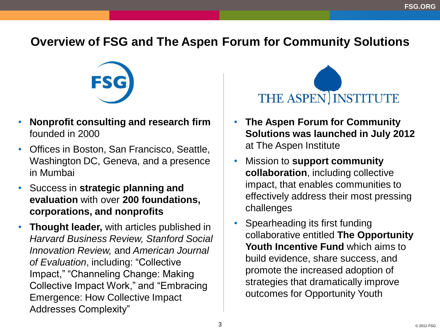### **Overview of FSG and The Aspen Forum for Community Solutions**



- **Nonprofit consulting and research firm** founded in 2000
- Offices in Boston, San Francisco, Seattle, Washington DC, Geneva, and a presence in Mumbai
- Success in **strategic planning and evaluation** with over **200 foundations, corporations, and nonprofits**
- **Thought leader,** with articles published in *Harvard Business Review, Stanford Social Innovation Review,* and *American Journal of Evaluation*, including: "Collective Impact," "Channeling Change: Making Collective Impact Work," and "Embracing Emergence: How Collective Impact Addresses Complexity"



- **The Aspen Forum for Community Solutions was launched in July 2012**  at The Aspen Institute
- Mission to **support community collaboration**, including collective impact, that enables communities to effectively address their most pressing challenges
- Spearheading its first funding collaborative entitled **The Opportunity Youth Incentive Fund** which aims to build evidence, share success, and promote the increased adoption of strategies that dramatically improve outcomes for Opportunity Youth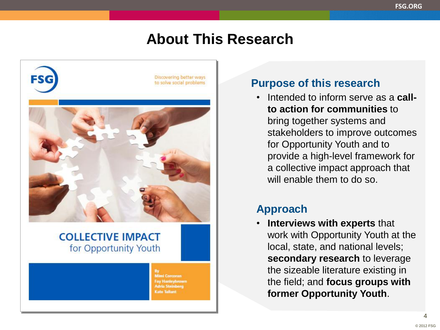### **About This Research**



**Mimi Corcoran** ay Hanleybrown **Idria Steinberg Cate Tallant** 

#### **Purpose of this research**

• Intended to inform serve as a **callto action for communities** to bring together systems and stakeholders to improve outcomes for Opportunity Youth and to provide a high-level framework for a collective impact approach that will enable them to do so.

#### **Approach**

• **Interviews with experts** that work with Opportunity Youth at the local, state, and national levels; **secondary research** to leverage the sizeable literature existing in the field; and **focus groups with former Opportunity Youth**.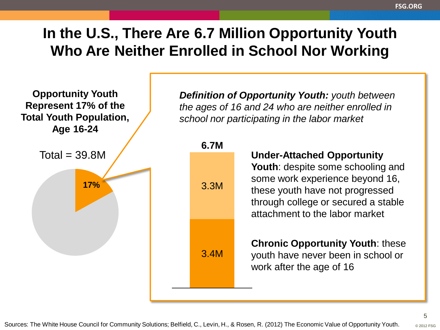# **In the U.S., There Are 6.7 Million Opportunity Youth Who Are Neither Enrolled in School Nor Working**

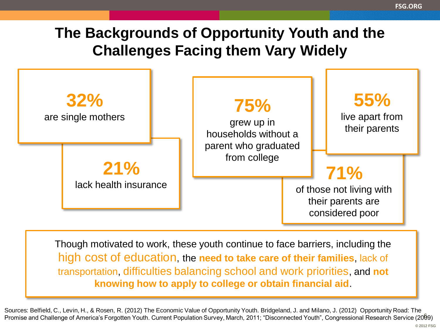# **The Backgrounds of Opportunity Youth and the Challenges Facing them Vary Widely**



Though motivated to work, these youth continue to face barriers, including the high cost of education, the **need to take care of their families**, lack of transportation, difficulties balancing school and work priorities, and **not knowing how to apply to college or obtain financial aid**.

Promise and Challenge of America's Forgotten Youth. Current Population Survey, March, 2011; "Disconnected Youth", Congressional Research Service (2009) Sources: Belfield, C., Levin, H., & Rosen, R. (2012) The Economic Value of Opportunity Youth. Bridgeland, J. and Milano, J. (2012) Opportunity Road: The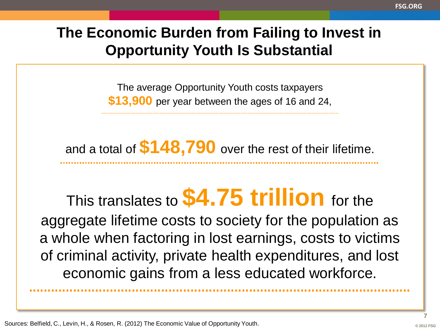# **The Economic Burden from Failing to Invest in Opportunity Youth Is Substantial**

The average Opportunity Youth costs taxpayers **\$13,900** per year between the ages of 16 and 24,

and a total of **\$148,790** over the rest of their lifetime.

This translates to **\$4.75 trillion** for the aggregate lifetime costs to society for the population as a whole when factoring in lost earnings, costs to victims of criminal activity, private health expenditures, and lost economic gains from a less educated workforce.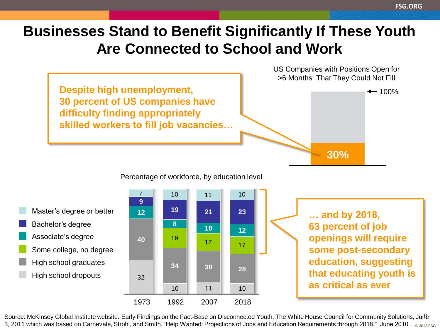# **Businesses Stand to Benefit Significantly If These Youth Are Connected to School and Work**



Percentage of workforce, by education level

High school dropouts High school graduates Some college, no degree Associate's degree Bachelor's degree Master's degree or better



**… and by 2018, 63 percent of job openings will require some post-secondary education, suggesting that educating youth is as critical as ever**

Source: McKinsey Global Institute website. Early Findings on the Fact-Base on Disconnected Youth, The White House Council for Community Solutions, Jume 3, 2011 which was based on Carnevale, Strohl, and Smith. "Help Wanted: Projections of Jobs and Education Requirements through 2018." June 2010 .  $_{\otimes2012\,FSG}$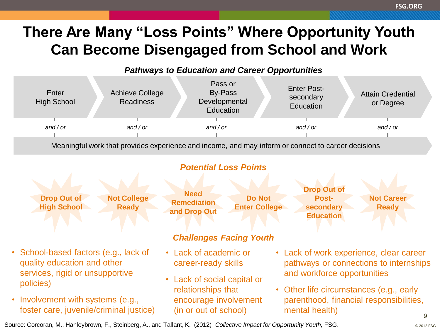# **There Are Many "Loss Points" Where Opportunity Youth Can Become Disengaged from School and Work**

#### *Pathways to Education and Career Opportunities*



Meaningful work that provides experience and income, and may inform or connect to career decisions

#### *Potential Loss Points*



Source: Corcoran, M., Hanleybrown, F., Steinberg, A., and Tallant, K. (2012) *Collective Impact for Opportunity Youth,* FSG.

**FSG.ORG**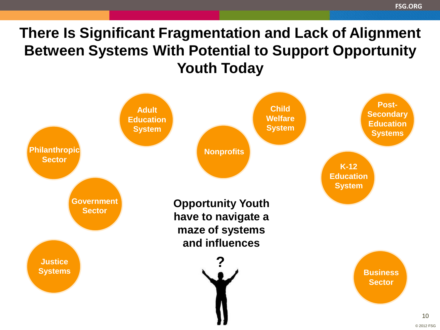# **There Is Significant Fragmentation and Lack of Alignment Between Systems With Potential to Support Opportunity Youth Today**

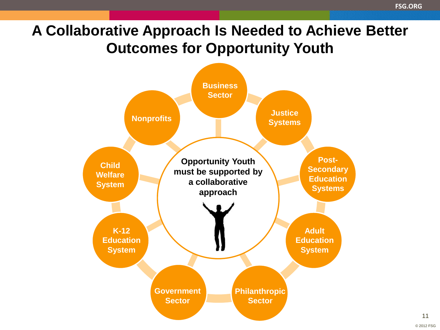# **A Collaborative Approach Is Needed to Achieve Better Outcomes for Opportunity Youth**

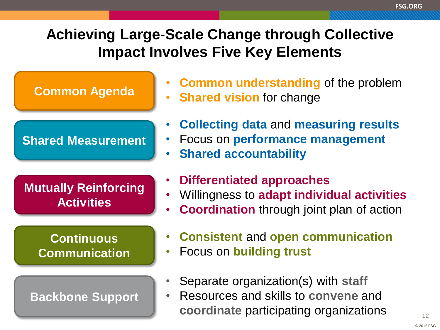# **Achieving Large-Scale Change through Collective Impact Involves Five Key Elements**

### **Common Agenda**

### **Shared Measurement**

**Mutually Reinforcing Activities**

### **Continuous Communication**

#### **Backbone Support**

- **Common understanding** of the problem
- **Shared vision for change**
- **Collecting data** and **measuring results**
- Focus on **performance management**
- **Shared accountability**
- **Differentiated approaches**
- Willingness to **adapt individual activities**
- **Coordination** through joint plan of action
- **Consistent** and **open communication**
- Focus on **building trust**
- Separate organization(s) with **staff**
- Resources and skills to **convene** and **coordinate** participating organizations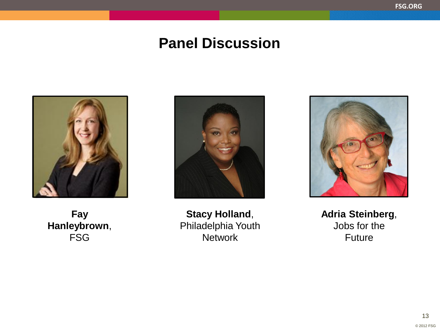### **Panel Discussion**



**Fay Hanleybrown**, FSG



**Stacy Holland**, Philadelphia Youth **Network** 



**Adria Steinberg**, Jobs for the Future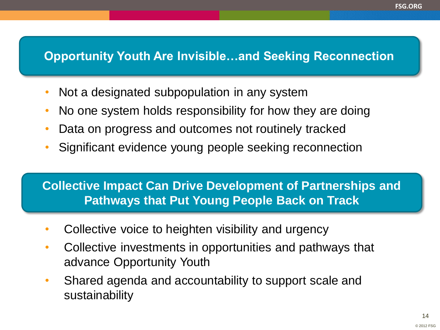### **Opportunity Youth Are Invisible…and Seeking Reconnection**

- Not a designated subpopulation in any system
- No one system holds responsibility for how they are doing
- Data on progress and outcomes not routinely tracked
- Significant evidence young people seeking reconnection

### **Collective Impact Can Drive Development of Partnerships and Pathways that Put Young People Back on Track**

- Collective voice to heighten visibility and urgency
- Collective investments in opportunities and pathways that advance Opportunity Youth
- Shared agenda and accountability to support scale and sustainability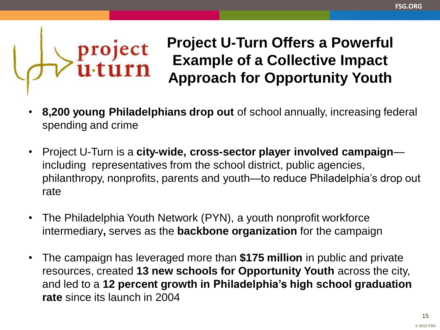# **Project U-Turn Offers a Powerful Example of a Collective Impact Approach for Opportunity Youth**

• **8,200 young Philadelphians drop out** of school annually, increasing federal spending and crime

project<br>u·turn

- Project U-Turn is a **city-wide, cross-sector player involved campaign** includingrepresentatives from the school district, public agencies, philanthropy, nonprofits, parents and youth—to reduce Philadelphia's drop out rate
- The Philadelphia Youth Network (PYN), a youth nonprofit workforce intermediary**,** serves as the **backbone organization** for the campaign
- The campaign has leveraged more than **\$175 million** in public and private resources, created **13 new schools for Opportunity Youth** across the city, and led to a **12 percent growth in Philadelphia's high school graduation rate** since its launch in 2004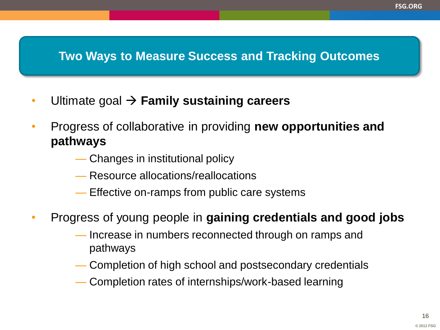### **Two Ways to Measure Success and Tracking Outcomes**

- Ultimate goal **Family sustaining careers**
- Progress of collaborative in providing **new opportunities and pathways** 
	- Changes in institutional policy
	- Resource allocations/reallocations
	- Effective on-ramps from public care systems
- Progress of young people in **gaining credentials and good jobs**
	- Increase in numbers reconnected through on ramps and pathways
	- Completion of high school and postsecondary credentials
	- Completion rates of internships/work-based learning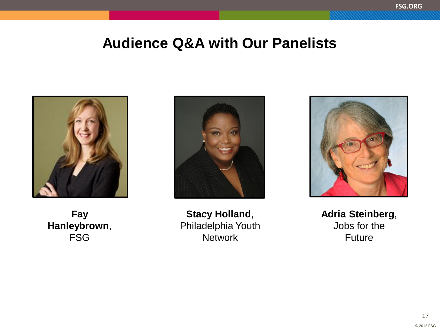### **Audience Q&A with Our Panelists**







**Stacy Holland**, Philadelphia Youth **Network** 



**Adria Steinberg**, Jobs for the Future